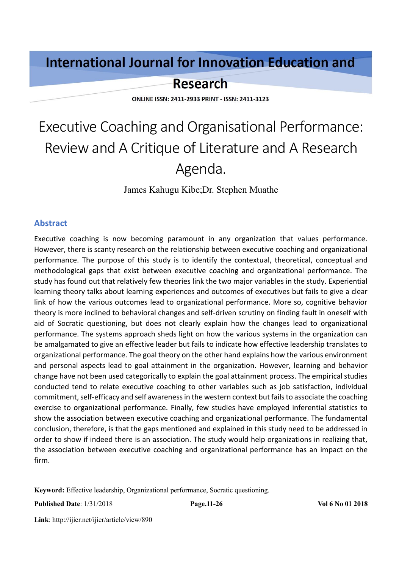## **International Journal for Innovation Education and**

### **Research**

**ONLINE ISSN: 2411-2933 PRINT - ISSN: 2411-3123** 

# Executive Coaching and Organisational Performance: Review and A Critique of Literature and A Research Agenda.

James Kahugu Kibe;Dr. Stephen Muathe

#### **Abstract**

Executive coaching is now becoming paramount in any organization that values performance. However, there is scanty research on the relationship between executive coaching and organizational performance. The purpose of this study is to identify the contextual, theoretical, conceptual and methodological gaps that exist between executive coaching and organizational performance. The study has found out that relatively few theories link the two major variables in the study. Experiential learning theory talks about learning experiences and outcomes of executives but fails to give a clear link of how the various outcomes lead to organizational performance. More so, cognitive behavior theory is more inclined to behavioral changes and self-driven scrutiny on finding fault in oneself with aid of Socratic questioning, but does not clearly explain how the changes lead to organizational performance. The systems approach sheds light on how the various systems in the organization can be amalgamated to give an effective leader but fails to indicate how effective leadership translates to organizational performance. The goal theory on the other hand explains how the various environment and personal aspects lead to goal attainment in the organization. However, learning and behavior change have not been used categorically to explain the goal attainment process. The empirical studies conducted tend to relate executive coaching to other variables such as job satisfaction, individual commitment, self-efficacy and self awareness in the western context but fails to associate the coaching exercise to organizational performance. Finally, few studies have employed inferential statistics to show the association between executive coaching and organizational performance. The fundamental conclusion, therefore, is that the gaps mentioned and explained in this study need to be addressed in order to show if indeed there is an association. The study would help organizations in realizing that, the association between executive coaching and organizational performance has an impact on the firm.

**Keyword:** Effective leadership, Organizational performance, Socratic questioning.

**Published Date**: 1/31/2018 **Page.11-26 Vol 6 No 01 2018**

**Link**: http://ijier.net/ijier/article/view/890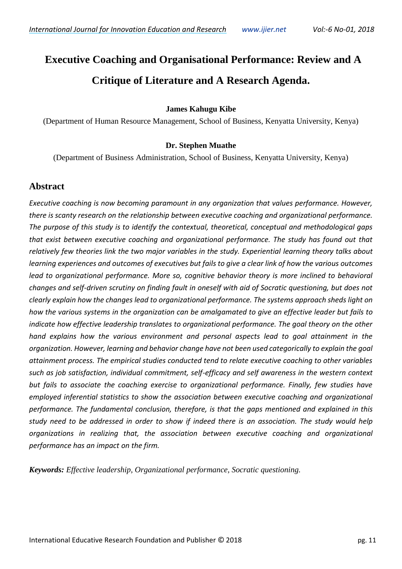## **Executive Coaching and Organisational Performance: Review and A Critique of Literature and A Research Agenda.**

#### **James Kahugu Kibe**

(Department of Human Resource Management, School of Business, Kenyatta University, Kenya)

#### **Dr. Stephen Muathe**

(Department of Business Administration, School of Business, Kenyatta University, Kenya)

#### **Abstract**

*Executive coaching is now becoming paramount in any organization that values performance. However, there is scanty research on the relationship between executive coaching and organizational performance. The purpose of this study is to identify the contextual, theoretical, conceptual and methodological gaps that exist between executive coaching and organizational performance. The study has found out that relatively few theories link the two major variables in the study. Experiential learning theory talks about learning experiences and outcomes of executives but fails to give a clear link of how the various outcomes lead to organizational performance. More so, cognitive behavior theory is more inclined to behavioral changes and self-driven scrutiny on finding fault in oneself with aid of Socratic questioning, but does not clearly explain how the changes lead to organizational performance. The systems approach sheds light on how the various systems in the organization can be amalgamated to give an effective leader but fails to indicate how effective leadership translates to organizational performance. The goal theory on the other hand explains how the various environment and personal aspects lead to goal attainment in the organization. However, learning and behavior change have not been used categorically to explain the goal attainment process. The empirical studies conducted tend to relate executive coaching to other variables such as job satisfaction, individual commitment, self-efficacy and self awareness in the western context but fails to associate the coaching exercise to organizational performance. Finally, few studies have employed inferential statistics to show the association between executive coaching and organizational performance. The fundamental conclusion, therefore, is that the gaps mentioned and explained in this study need to be addressed in order to show if indeed there is an association. The study would help organizations in realizing that, the association between executive coaching and organizational performance has an impact on the firm.*

*Keywords: Effective leadership, Organizational performance, Socratic questioning.*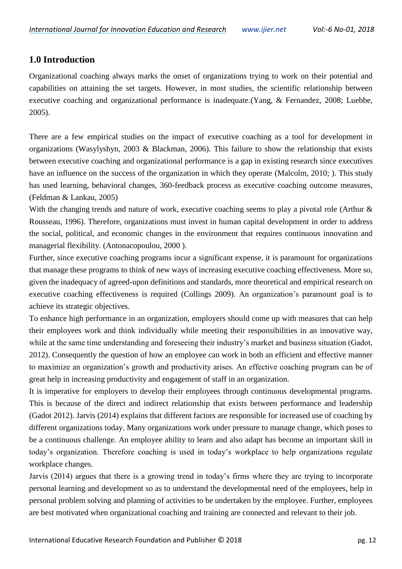#### **1.0 Introduction**

Organizational coaching always marks the onset of organizations trying to work on their potential and capabilities on attaining the set targets. However, in most studies, the scientific relationship between executive coaching and organizational performance is inadequate.(Yang, & Fernandez, 2008; Luebbe, 2005).

There are a few empirical studies on the impact of executive coaching as a tool for development in organizations (Wasylyshyn, 2003 & Blackman, 2006). This failure to show the relationship that exists between executive coaching and organizational performance is a gap in existing research since executives have an influence on the success of the organization in which they operate (Malcolm, 2010; ). This study has used learning, behavioral changes, 360-feedback process as executive coaching outcome measures, (Feldman & Lankau, 2005)

With the changing trends and nature of work, executive coaching seems to play a pivotal role (Arthur & Rousseau, 1996). Therefore, organizations must invest in human capital development in order to address the social, political, and economic changes in the environment that requires continuous innovation and managerial flexibility. (Antonacopoulou, 2000 ).

Further, since executive coaching programs incur a significant expense, it is paramount for organizations that manage these programs to think of new ways of increasing executive coaching effectiveness. More so, given the inadequacy of agreed-upon definitions and standards, more theoretical and empirical research on executive coaching effectiveness is required (Collings 2009). An organization's paramount goal is to achieve its strategic objectives.

To enhance high performance in an organization, employers should come up with measures that can help their employees work and think individually while meeting their responsibilities in an innovative way, while at the same time understanding and foreseeing their industry's market and business situation (Gadot, 2012). Consequently the question of how an employee can work in both an efficient and effective manner to maximize an organization's growth and productivity arises. An effective coaching program can be of great help in increasing productivity and engagement of staff in an organization.

It is imperative for employers to develop their employees through continuous developmental programs. This is because of the direct and indirect relationship that exists between performance and leadership (Gadot 2012). Jarvis (2014) explains that different factors are responsible for increased use of coaching by different organizations today. Many organizations work under pressure to manage change, which poses to be a continuous challenge. An employee ability to learn and also adapt has become an important skill in today's organization. Therefore coaching is used in today's workplace to help organizations regulate workplace changes.

Jarvis (2014) argues that there is a growing trend in today's firms where they are trying to incorporate personal learning and development so as to understand the developmental need of the employees, help in personal problem solving and planning of activities to be undertaken by the employee. Further, employees are best motivated when organizational coaching and training are connected and relevant to their job.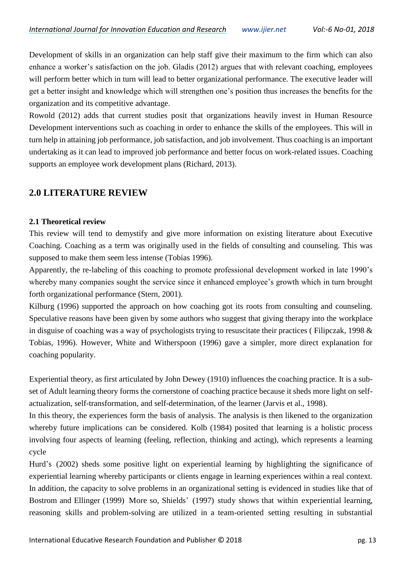Development of skills in an organization can help staff give their maximum to the firm which can also enhance a worker's satisfaction on the job. Gladis (2012) argues that with relevant coaching, employees will perform better which in turn will lead to better organizational performance. The executive leader will get a better insight and knowledge which will strengthen one's position thus increases the benefits for the organization and its competitive advantage.

Rowold (2012) adds that current studies posit that organizations heavily invest in Human Resource Development interventions such as coaching in order to enhance the skills of the employees. This will in turn help in attaining job performance, job satisfaction, and job involvement. Thus coaching is an important undertaking as it can lead to improved job performance and better focus on work-related issues. Coaching supports an employee work development plans (Richard, 2013).

#### **2.0 LITERATURE REVIEW**

#### **2.1 Theoretical review**

This review will tend to demystify and give more information on existing literature about Executive Coaching. Coaching as a term was originally used in the fields of consulting and counseling. This was supposed to make them seem less intense (Tobias 1996).

Apparently, the re-labeling of this coaching to promote professional development worked in late 1990's whereby many companies sought the service since it enhanced employee's growth which in turn brought forth organizational performance (Stern, 2001).

Kilburg (1996) supported the approach on how coaching got its roots from consulting and counseling. Speculative reasons have been given by some authors who suggest that giving therapy into the workplace in disguise of coaching was a way of psychologists trying to resuscitate their practices ( Filipczak, 1998 & Tobias, 1996). However, White and Witherspoon (1996) gave a simpler, more direct explanation for coaching popularity.

Experiential theory, as first articulated by John Dewey (1910) influences the coaching practice. It is a subset of Adult learning theory forms the cornerstone of coaching practice because it sheds more light on selfactualization, self-transformation, and self-determination, of the learner (Jarvis et al., 1998).

In this theory, the experiences form the basis of analysis. The analysis is then likened to the organization whereby future implications can be considered. Kolb (1984) posited that learning is a holistic process involving four aspects of learning (feeling, reflection, thinking and acting), which represents a learning cycle

Hurd's (2002) sheds some positive light on experiential learning by highlighting the significance of experiential learning whereby participants or clients engage in learning experiences within a real context. In addition, the capacity to solve problems in an organizational setting is evidenced in studies like that of Bostrom and Ellinger (1999) More so, Shields' (1997) study shows that within experiential learning, reasoning skills and problem-solving are utilized in a team-oriented setting resulting in substantial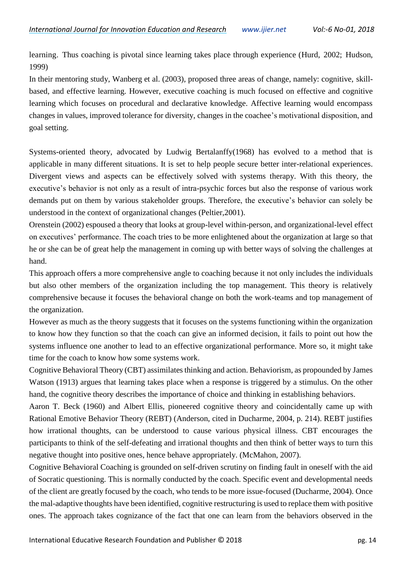learning. Thus coaching is pivotal since learning takes place through experience (Hurd, 2002; Hudson, 1999)

In their mentoring study, Wanberg et al. (2003), proposed three areas of change, namely: cognitive, skillbased, and effective learning. However, executive coaching is much focused on effective and cognitive learning which focuses on procedural and declarative knowledge. Affective learning would encompass changes in values, improved tolerance for diversity, changes in the coachee's motivational disposition, and goal setting.

Systems-oriented theory, advocated by Ludwig Bertalanffy(1968) has evolved to a method that is applicable in many different situations. It is set to help people secure better inter-relational experiences. Divergent views and aspects can be effectively solved with systems therapy. With this theory, the executive's behavior is not only as a result of intra-psychic forces but also the response of various work demands put on them by various stakeholder groups. Therefore, the executive's behavior can solely be understood in the context of organizational changes (Peltier,2001).

Orenstein (2002) espoused a theory that looks at group-level within-person, and organizational-level effect on executives' performance. The coach tries to be more enlightened about the organization at large so that he or she can be of great help the management in coming up with better ways of solving the challenges at hand.

This approach offers a more comprehensive angle to coaching because it not only includes the individuals but also other members of the organization including the top management. This theory is relatively comprehensive because it focuses the behavioral change on both the work-teams and top management of the organization.

However as much as the theory suggests that it focuses on the systems functioning within the organization to know how they function so that the coach can give an informed decision, it fails to point out how the systems influence one another to lead to an effective organizational performance. More so, it might take time for the coach to know how some systems work.

Cognitive Behavioral Theory (CBT) assimilates thinking and action. Behaviorism, as propounded by James Watson (1913) argues that learning takes place when a response is triggered by a stimulus. On the other hand, the cognitive theory describes the importance of choice and thinking in establishing behaviors.

Aaron T. Beck (1960) and Albert Ellis, pioneered cognitive theory and coincidentally came up with Rational Emotive Behavior Theory (REBT) (Anderson, cited in Ducharme, 2004, p. 214). REBT justifies how irrational thoughts, can be understood to cause various physical illness. CBT encourages the participants to think of the self-defeating and irrational thoughts and then think of better ways to turn this negative thought into positive ones, hence behave appropriately. (McMahon, 2007).

Cognitive Behavioral Coaching is grounded on self-driven scrutiny on finding fault in oneself with the aid of Socratic questioning. This is normally conducted by the coach. Specific event and developmental needs of the client are greatly focused by the coach, who tends to be more issue-focused (Ducharme, 2004). Once the mal-adaptive thoughts have been identified, cognitive restructuring is used to replace them with positive ones. The approach takes cognizance of the fact that one can learn from the behaviors observed in the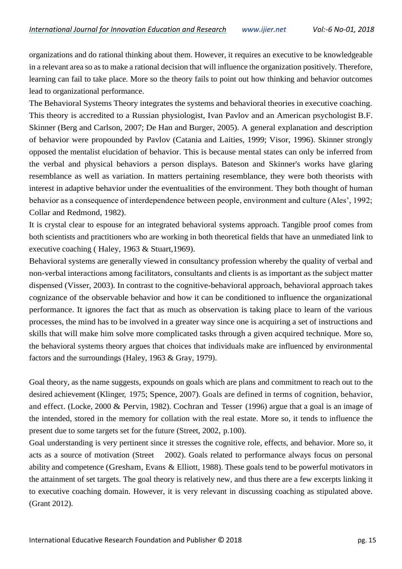organizations and do rational thinking about them. However, it requires an executive to be knowledgeable in a relevant area so as to make a rational decision that will influence the organization positively. Therefore, learning can fail to take place. More so the theory fails to point out how thinking and behavior outcomes lead to organizational performance.

The Behavioral Systems Theory integrates the systems and behavioral theories in executive coaching. This theory is accredited to a Russian physiologist, Ivan Pavlov and an American psychologist B.F. Skinner (Berg and Carlson, 2007; De Han and Burger, 2005). A general explanation and description of behavior were propounded by Pavlov (Catania and Laities, 1999; Visor, 1996). Skinner strongly opposed the mentalist elucidation of behavior. This is because mental states can only be inferred from the verbal and physical behaviors a person displays. Bateson and Skinner's works have glaring resemblance as well as variation. In matters pertaining resemblance, they were both theorists with interest in adaptive behavior under the eventualities of the environment. They both thought of human behavior as a consequence of interdependence between people, environment and culture (Ales', 1992; Collar and Redmond, 1982).

It is crystal clear to espouse for an integrated behavioral systems approach. Tangible proof comes from both scientists and practitioners who are working in both theoretical fields that have an unmediated link to executive coaching ( Haley, 1963 & Stuart,1969).

Behavioral systems are generally viewed in consultancy profession whereby the quality of verbal and non-verbal interactions among facilitators, consultants and clients is as important as the subject matter dispensed (Visser, 2003). In contrast to the cognitive-behavioral approach, behavioral approach takes cognizance of the observable behavior and how it can be conditioned to influence the organizational performance. It ignores the fact that as much as observation is taking place to learn of the various processes, the mind has to be involved in a greater way since one is acquiring a set of instructions and skills that will make him solve more complicated tasks through a given acquired technique. More so, the behavioral systems theory argues that choices that individuals make are influenced by environmental factors and the surroundings (Haley, 1963 & Gray, 1979).

Goal theory, as the name suggests, expounds on goals which are plans and commitment to reach out to the desired achievement (Klinger, 1975; Spence, 2007). Goals are defined in terms of cognition, behavior, and effect. (Locke, 2000 & Pervin, 1982). Cochran and Tesser (1996) argue that a goal is an image of the intended, stored in the memory for collation with the real estate. More so, it tends to influence the present due to some targets set for the future (Street, 2002, p.100).

Goal understanding is very pertinent since it stresses the cognitive role, effects, and behavior. More so, it acts as a source of motivation (Street 2002). Goals related to performance always focus on personal ability and competence (Gresham, Evans & Elliott, 1988). These goals tend to be powerful motivators in the attainment of set targets. The goal theory is relatively new, and thus there are a few excerpts linking it to executive coaching domain. However, it is very relevant in discussing coaching as stipulated above. (Grant 2012).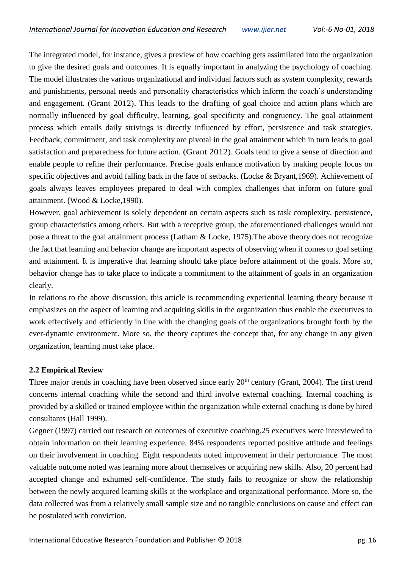The integrated model, for instance, gives a preview of how coaching gets assimilated into the organization to give the desired goals and outcomes. It is equally important in analyzing the psychology of coaching. The model illustrates the various organizational and individual factors such as system complexity, rewards and punishments, personal needs and personality characteristics which inform the coach's understanding and engagement. (Grant 2012). This leads to the drafting of goal choice and action plans which are normally influenced by goal difficulty, learning, goal specificity and congruency. The goal attainment process which entails daily strivings is directly influenced by effort, persistence and task strategies. Feedback, commitment, and task complexity are pivotal in the goal attainment which in turn leads to goal satisfaction and preparedness for future action. (Grant 2012). Goals tend to give a sense of direction and enable people to refine their performance. Precise goals enhance motivation by making people focus on specific objectives and avoid falling back in the face of setbacks. (Locke & Bryant,1969). Achievement of goals always leaves employees prepared to deal with complex challenges that inform on future goal attainment. (Wood & Locke,1990).

However, goal achievement is solely dependent on certain aspects such as task complexity, persistence, group characteristics among others. But with a receptive group, the aforementioned challenges would not pose a threat to the goal attainment process (Latham & Locke, 1975).The above theory does not recognize the fact that learning and behavior change are important aspects of observing when it comes to goal setting and attainment. It is imperative that learning should take place before attainment of the goals. More so, behavior change has to take place to indicate a commitment to the attainment of goals in an organization clearly.

In relations to the above discussion, this article is recommending experiential learning theory because it emphasizes on the aspect of learning and acquiring skills in the organization thus enable the executives to work effectively and efficiently in line with the changing goals of the organizations brought forth by the ever-dynamic environment. More so, the theory captures the concept that, for any change in any given organization, learning must take place.

#### **2.2 Empirical Review**

Three major trends in coaching have been observed since early  $20<sup>th</sup>$  century (Grant, 2004). The first trend concerns internal coaching while the second and third involve external coaching. Internal coaching is provided by a skilled or trained employee within the organization while external coaching is done by hired consultants (Hall 1999).

Gegner (1997) carried out research on outcomes of executive coaching.25 executives were interviewed to obtain information on their learning experience. 84% respondents reported positive attitude and feelings on their involvement in coaching. Eight respondents noted improvement in their performance. The most valuable outcome noted was learning more about themselves or acquiring new skills. Also, 20 percent had accepted change and exhumed self-confidence. The study fails to recognize or show the relationship between the newly acquired learning skills at the workplace and organizational performance. More so, the data collected was from a relatively small sample size and no tangible conclusions on cause and effect can be postulated with conviction.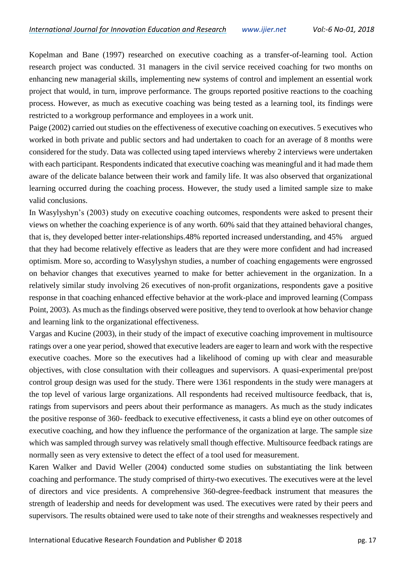Kopelman and Bane (1997) researched on executive coaching as a transfer-of-learning tool. Action research project was conducted. 31 managers in the civil service received coaching for two months on enhancing new managerial skills, implementing new systems of control and implement an essential work project that would, in turn, improve performance. The groups reported positive reactions to the coaching process. However, as much as executive coaching was being tested as a learning tool, its findings were restricted to a workgroup performance and employees in a work unit.

Paige (2002) carried out studies on the effectiveness of executive coaching on executives. 5 executives who worked in both private and public sectors and had undertaken to coach for an average of 8 months were considered for the study. Data was collected using taped interviews whereby 2 interviews were undertaken with each participant. Respondents indicated that executive coaching was meaningful and it had made them aware of the delicate balance between their work and family life. It was also observed that organizational learning occurred during the coaching process. However, the study used a limited sample size to make valid conclusions.

In Wasylyshyn's (2003) study on executive coaching outcomes, respondents were asked to present their views on whether the coaching experience is of any worth. 60% said that they attained behavioral changes, that is, they developed better inter-relationships.48% reported increased understanding, and 45% argued that they had become relatively effective as leaders that are they were more confident and had increased optimism. More so, according to Wasylyshyn studies, a number of coaching engagements were engrossed on behavior changes that executives yearned to make for better achievement in the organization. In a relatively similar study involving 26 executives of non-profit organizations, respondents gave a positive response in that coaching enhanced effective behavior at the work-place and improved learning (Compass Point, 2003). As much as the findings observed were positive, they tend to overlook at how behavior change and learning link to the organizational effectiveness.

Vargas and Kucine (2003), in their study of the impact of executive coaching improvement in multisource ratings over a one year period, showed that executive leaders are eager to learn and work with the respective executive coaches. More so the executives had a likelihood of coming up with clear and measurable objectives, with close consultation with their colleagues and supervisors. A quasi-experimental pre/post control group design was used for the study. There were 1361 respondents in the study were managers at the top level of various large organizations. All respondents had received multisource feedback, that is, ratings from supervisors and peers about their performance as managers. As much as the study indicates the positive response of 360- feedback to executive effectiveness, it casts a blind eye on other outcomes of executive coaching, and how they influence the performance of the organization at large. The sample size which was sampled through survey was relatively small though effective. Multisource feedback ratings are normally seen as very extensive to detect the effect of a tool used for measurement.

Karen Walker and David Weller (2004) conducted some studies on substantiating the link between coaching and performance. The study comprised of thirty-two executives. The executives were at the level of directors and vice presidents. A comprehensive 360-degree-feedback instrument that measures the strength of leadership and needs for development was used. The executives were rated by their peers and supervisors. The results obtained were used to take note of their strengths and weaknesses respectively and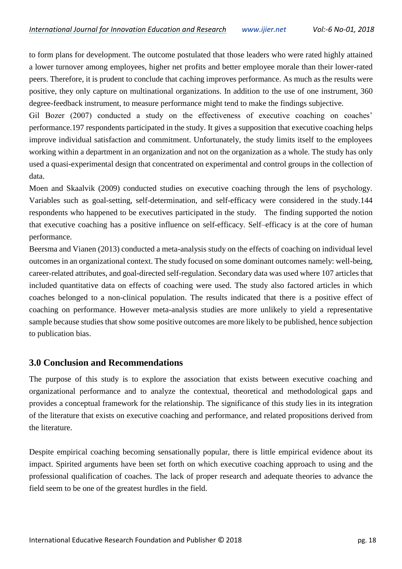to form plans for development. The outcome postulated that those leaders who were rated highly attained a lower turnover among employees, higher net profits and better employee morale than their lower-rated peers. Therefore, it is prudent to conclude that caching improves performance. As much as the results were positive, they only capture on multinational organizations. In addition to the use of one instrument, 360 degree-feedback instrument, to measure performance might tend to make the findings subjective.

Gil Bozer (2007) conducted a study on the effectiveness of executive coaching on coaches' performance.197 respondents participated in the study. It gives a supposition that executive coaching helps improve individual satisfaction and commitment. Unfortunately, the study limits itself to the employees working within a department in an organization and not on the organization as a whole. The study has only used a quasi-experimental design that concentrated on experimental and control groups in the collection of data.

Moen and Skaalvik (2009) conducted studies on executive coaching through the lens of psychology. Variables such as goal-setting, self-determination, and self-efficacy were considered in the study.144 respondents who happened to be executives participated in the study. The finding supported the notion that executive coaching has a positive influence on self-efficacy. Self–efficacy is at the core of human performance.

Beersma and Vianen (2013) conducted a meta-analysis study on the effects of coaching on individual level outcomes in an organizational context. The study focused on some dominant outcomes namely: well-being, career-related attributes, and goal-directed self-regulation. Secondary data was used where 107 articles that included quantitative data on effects of coaching were used. The study also factored articles in which coaches belonged to a non-clinical population. The results indicated that there is a positive effect of coaching on performance. However meta-analysis studies are more unlikely to yield a representative sample because studies that show some positive outcomes are more likely to be published, hence subjection to publication bias.

#### **3.0 Conclusion and Recommendations**

The purpose of this study is to explore the association that exists between executive coaching and organizational performance and to analyze the contextual, theoretical and methodological gaps and provides a conceptual framework for the relationship. The significance of this study lies in its integration of the literature that exists on executive coaching and performance, and related propositions derived from the literature.

Despite empirical coaching becoming sensationally popular, there is little empirical evidence about its impact. Spirited arguments have been set forth on which executive coaching approach to using and the professional qualification of coaches. The lack of proper research and adequate theories to advance the field seem to be one of the greatest hurdles in the field.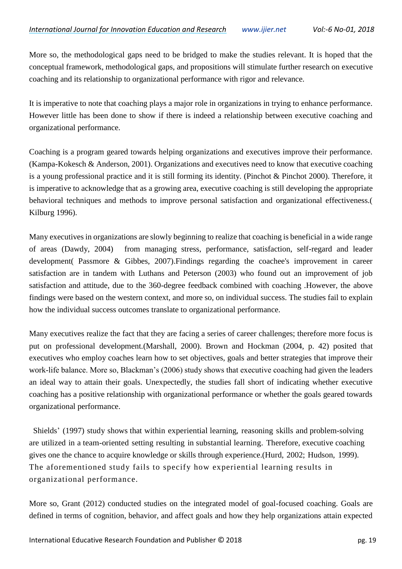More so, the methodological gaps need to be bridged to make the studies relevant. It is hoped that the conceptual framework, methodological gaps, and propositions will stimulate further research on executive coaching and its relationship to organizational performance with rigor and relevance.

It is imperative to note that coaching plays a major role in organizations in trying to enhance performance. However little has been done to show if there is indeed a relationship between executive coaching and organizational performance.

Coaching is a program geared towards helping organizations and executives improve their performance. (Kampa-Kokesch & Anderson, 2001). Organizations and executives need to know that executive coaching is a young professional practice and it is still forming its identity. (Pinchot & Pinchot 2000). Therefore, it is imperative to acknowledge that as a growing area, executive coaching is still developing the appropriate behavioral techniques and methods to improve personal satisfaction and organizational effectiveness.( Kilburg 1996).

Many executives in organizations are slowly beginning to realize that coaching is beneficial in a wide range of areas (Dawdy, 2004) from managing stress, performance, satisfaction, self-regard and leader development( Passmore & Gibbes, 2007).Findings regarding the coachee's improvement in career satisfaction are in tandem with Luthans and Peterson (2003) who found out an improvement of job satisfaction and attitude, due to the 360-degree feedback combined with coaching .However, the above findings were based on the western context, and more so, on individual success. The studies fail to explain how the individual success outcomes translate to organizational performance.

Many executives realize the fact that they are facing a series of career challenges; therefore more focus is put on professional development.(Marshall, 2000). Brown and Hockman (2004, p. 42) posited that executives who employ coaches learn how to set objectives, goals and better strategies that improve their work-life balance. More so, Blackman's (2006) study shows that executive coaching had given the leaders an ideal way to attain their goals. Unexpectedly, the studies fall short of indicating whether executive coaching has a positive relationship with organizational performance or whether the goals geared towards organizational performance.

Shields' (1997) study shows that within experiential learning, reasoning skills and problem-solving are utilized in a team-oriented setting resulting in substantial learning. Therefore, executive coaching gives one the chance to acquire knowledge or skills through experience.(Hurd, 2002; Hudson, 1999). The aforementioned study fails to specify how experiential learning results in organizational performance.

More so, Grant (2012) conducted studies on the integrated model of goal-focused coaching. Goals are defined in terms of cognition, behavior, and affect goals and how they help organizations attain expected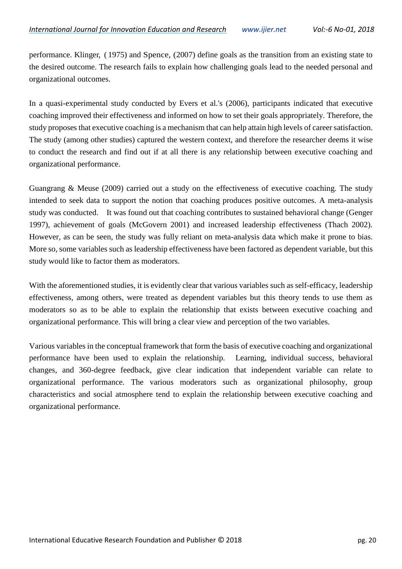performance. Klinger, ( 1975) and Spence, (2007) define goals as the transition from an existing state to the desired outcome. The research fails to explain how challenging goals lead to the needed personal and organizational outcomes.

In a quasi-experimental study conducted by Evers et al.'s (2006), participants indicated that executive coaching improved their effectiveness and informed on how to set their goals appropriately. Therefore, the study proposes that executive coaching is a mechanism that can help attain high levels of career satisfaction. The study (among other studies) captured the western context, and therefore the researcher deems it wise to conduct the research and find out if at all there is any relationship between executive coaching and organizational performance.

Guangrang & Meuse (2009) carried out a study on the effectiveness of executive coaching. The study intended to seek data to support the notion that coaching produces positive outcomes. A meta-analysis study was conducted. It was found out that coaching contributes to sustained behavioral change (Genger 1997), achievement of goals (McGovern 2001) and increased leadership effectiveness (Thach 2002). However, as can be seen, the study was fully reliant on meta-analysis data which make it prone to bias. More so, some variables such as leadership effectiveness have been factored as dependent variable, but this study would like to factor them as moderators.

With the aforementioned studies, it is evidently clear that various variables such as self-efficacy, leadership effectiveness, among others, were treated as dependent variables but this theory tends to use them as moderators so as to be able to explain the relationship that exists between executive coaching and organizational performance. This will bring a clear view and perception of the two variables.

Various variables in the conceptual framework that form the basis of executive coaching and organizational performance have been used to explain the relationship. Learning, individual success, behavioral changes, and 360-degree feedback, give clear indication that independent variable can relate to organizational performance. The various moderators such as organizational philosophy, group characteristics and social atmosphere tend to explain the relationship between executive coaching and organizational performance.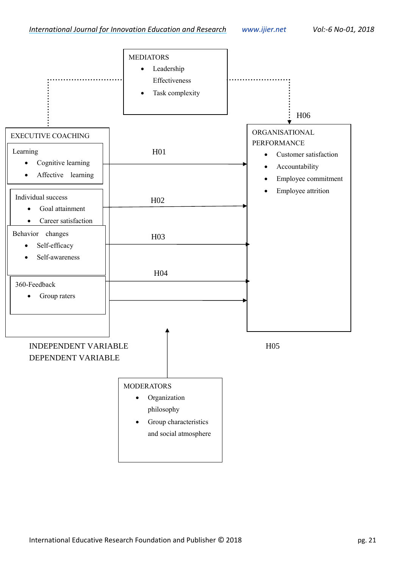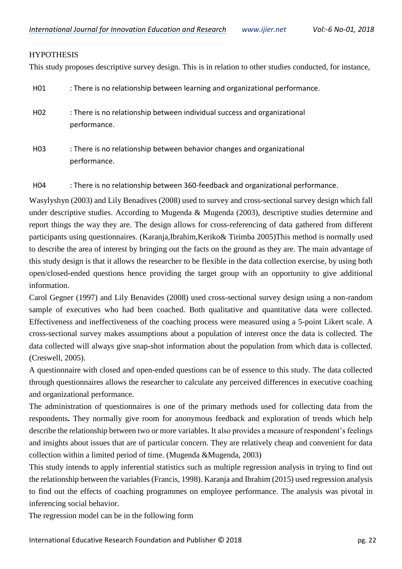#### **HYPOTHESIS**

performance.

This study proposes descriptive survey design. This is in relation to other studies conducted, for instance,

| H01             | : There is no relationship between learning and organizational performance.              |
|-----------------|------------------------------------------------------------------------------------------|
| H <sub>02</sub> | : There is no relationship between individual success and organizational<br>performance. |
| H <sub>03</sub> | : There is no relationship between behavior changes and organizational                   |

H04 : There is no relationship between 360-feedback and organizational performance.

Wasylyshyn (2003) and Lily Benadives (2008) used to survey and cross-sectional survey design which fall under descriptive studies. According to Mugenda & Mugenda (2003), descriptive studies determine and report things the way they are. The design allows for cross-referencing of data gathered from different participants using questionnaires. (Karanja,Ibrahim,Keriko& Tirimba 2005)This method is normally used to describe the area of interest by bringing out the facts on the ground as they are. The main advantage of this study design is that it allows the researcher to be flexible in the data collection exercise, by using both open/closed-ended questions hence providing the target group with an opportunity to give additional information.

Carol Gegner (1997) and Lily Benavides (2008) used cross-sectional survey design using a non-random sample of executives who had been coached. Both qualitative and quantitative data were collected. Effectiveness and ineffectiveness of the coaching process were measured using a 5-point Likert scale. A cross-sectional survey makes assumptions about a population of interest once the data is collected. The data collected will always give snap-shot information about the population from which data is collected. (Creswell, 2005).

A questionnaire with closed and open-ended questions can be of essence to this study. The data collected through questionnaires allows the researcher to calculate any perceived differences in executive coaching and organizational performance.

The administration of questionnaires is one of the primary methods used for collecting data from the respondents**.** They normally give room for anonymous feedback and exploration of trends which help describe the relationship between two or more variables. It also provides a measure of respondent's feelings and insights about issues that are of particular concern. They are relatively cheap and convenient for data collection within a limited period of time. (Mugenda &Mugenda, 2003)

This study intends to apply inferential statistics such as multiple regression analysis in trying to find out the relationship between the variables (Francis, 1998). Karanja and Ibrahim (2015) used regression analysis to find out the effects of coaching programmes on employee performance. The analysis was pivotal in inferencing social behavior.

The regression model can be in the following form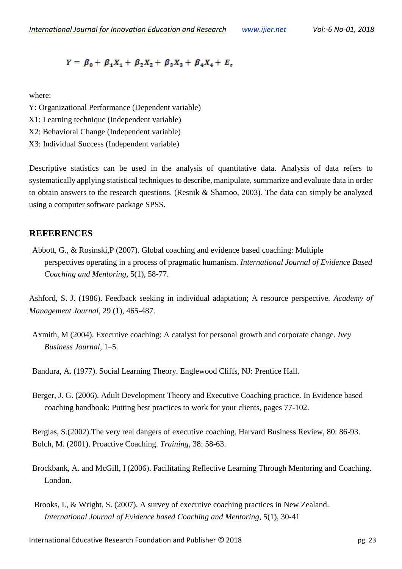$$
Y = \beta_0 + \beta_1 X_1 + \beta_2 X_2 + \beta_3 X_3 + \beta_4 X_4 + E_t
$$

where:

- Y: Organizational Performance (Dependent variable)
- X1: Learning technique (Independent variable)
- X2: Behavioral Change (Independent variable)
- X3: Individual Success (Independent variable)

Descriptive statistics can be used in the analysis of quantitative data. Analysis of data refers to systematically applying statistical techniques to describe, manipulate, summarize and evaluate data in order to obtain answers to the research questions. (Resnik & Shamoo, 2003). The data can simply be analyzed using a computer software package SPSS.

#### **REFERENCES**

Abbott, G., & Rosinski,P (2007). Global coaching and evidence based coaching: Multiple perspectives operating in a process of pragmatic humanism. *International Journal of Evidence Based Coaching and Mentoring*, 5(1), 58-77.

Ashford, S. J. (1986). Feedback seeking in individual adaptation; A resource perspective. *Academy of Management Journal*, 29 (1), 465-487.

Axmith, M (2004). Executive coaching: A catalyst for personal growth and corporate change. *Ivey Business Journal*, 1–5.

Bandura, A. (1977). Social Learning Theory. Englewood Cliffs, NJ: Prentice Hall.

Berger, J. G. (2006). Adult Development Theory and Executive Coaching practice. In Evidence based coaching handbook: Putting best practices to work for your clients, pages 77-102.

Berglas, S.(2002).The very real dangers of executive coaching. Harvard Business Review, 80: 86-93. Bolch, M. (2001). Proactive Coaching. *Training,* 38: 58-63.

- Brockbank, A. and McGill, I (2006). Facilitating Reflective Learning Through Mentoring and Coaching. London.
- Brooks, I., & Wright, S. (2007). A survey of executive coaching practices in New Zealand. *International Journal of Evidence based Coaching and Mentoring,* 5(1), 30-41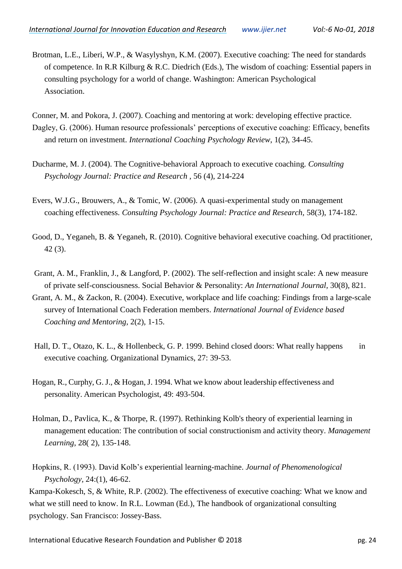Brotman, L.E., Liberi, W.P., & Wasylyshyn, K.M. (2007). Executive coaching: The need for standards of competence. In R.R Kilburg & R.C. Diedrich (Eds.), The wisdom of coaching: Essential papers in consulting psychology for a world of change. Washington: American Psychological Association.

Conner, M. and Pokora, J. (2007). Coaching and mentoring at work: developing effective practice. Dagley, G. (2006). Human resource professionals' perceptions of executive coaching: Efficacy, benefits and return on investment. *International Coaching Psychology Review*, 1(2), 34-45.

- Ducharme, M. J. (2004). The Cognitive-behavioral Approach to executive coaching. *Consulting Psychology Journal: Practice and Research* , 56 (4), 214-224
- Evers, W.J.G., Brouwers, A., & Tomic, W. (2006). A quasi-experimental study on management coaching effectiveness. *Consulting Psychology Journal: Practice and Research,* 58(3), 174-182.
- Good, D., Yeganeh, B. & Yeganeh, R. (2010). Cognitive behavioral executive coaching. Od practitioner, 42 (3).
- Grant, A. M., Franklin, J., & Langford, P. (2002). The self-reflection and insight scale: A new measure of private self-consciousness. Social Behavior & Personality: *An International Journal,* 30(8), 821.
- Grant, A. M., & Zackon, R. (2004). Executive, workplace and life coaching: Findings from a large-scale survey of International Coach Federation members. *International Journal of Evidence based Coaching and Mentoring,* 2(2), 1-15.
- Hall, D. T., Otazo, K. L., & Hollenbeck, G. P. 1999. Behind closed doors: What really happens in executive coaching. Organizational Dynamics, 27: 39-53.
- Hogan, R., Curphy, G. J., & Hogan, J. 1994. What we know about leadership effectiveness and personality. American Psychologist, 49: 493-504.
- Holman, D., Pavlica, K., & Thorpe, R. (1997). Rethinking Kolb's theory of experiential learning in management education: The contribution of social constructionism and activity theory. *Management Learning*, 28( 2), 135-148.

Hopkins, R. (1993). David Kolb's experiential learning-machine. *Journal of Phenomenological Psychology,* 24:(1), 46-62.

Kampa-Kokesch, S, & White, R.P. (2002). The effectiveness of executive coaching: What we know and what we still need to know. In R.L. Lowman (Ed.), The handbook of organizational consulting psychology. San Francisco: Jossey-Bass.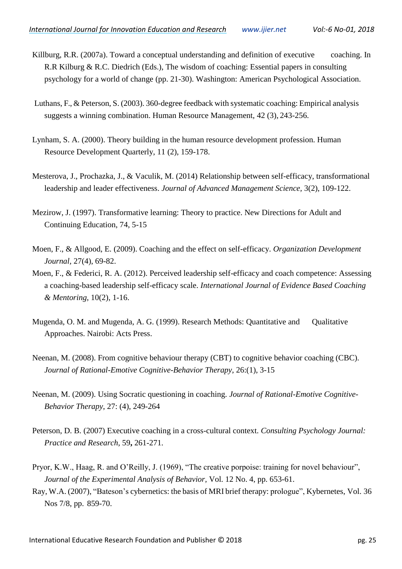- Killburg, R.R. (2007a). Toward a conceptual understanding and definition of executive coaching. In R.R Kilburg & R.C. Diedrich (Eds.), The wisdom of coaching: Essential papers in consulting psychology for a world of change (pp. 21-30). Washington: American Psychological Association.
- Luthans, F., & Peterson, S. (2003). 360-degree feedback with systematic coaching: Empirical analysis suggests a winning combination. Human Resource Management, 42 (3), 243-256.
- Lynham, S. A. (2000). Theory building in the human resource development profession. Human Resource Development Quarterly, 11 (2), 159-178.
- Mesterova, J., Prochazka, J., & Vaculik, M. (2014) Relationship between self-efficacy, transformational leadership and leader effectiveness. *Journal of Advanced Management Science,* 3(2), 109-122.
- Mezirow, J. (1997). Transformative learning: Theory to practice. New Directions for Adult and Continuing Education, 74, 5-15
- Moen, F., & Allgood, E. (2009). Coaching and the effect on self-efficacy. *Organization Development Journal,* 27(4), 69-82.
- Moen, F., & Federici, R. A. (2012). Perceived leadership self-efficacy and coach competence: Assessing a coaching-based leadership self-efficacy scale. *International Journal of Evidence Based Coaching & Mentoring*, 10(2), 1-16.
- Mugenda, O. M. and Mugenda, A. G. (1999). Research Methods: Quantitative and Qualitative Approaches. Nairobi: Acts Press.
- Neenan, M. (2008). From cognitive behaviour therapy (CBT) to cognitive behavior coaching (CBC). *Journal of Rational-Emotive Cognitive-Behavior Therapy*, 26:(1), 3-15
- Neenan, M. (2009). Using Socratic questioning in coaching. *Journal of Rational-Emotive Cognitive-Behavior Therapy*, 27: (4), 249-264
- Peterson, D. B. (2007) Executive coaching in a cross-cultural context. *Consulting Psychology Journal: Practice and Research*, 59**,** 261-271.
- Pryor, K.W., Haag, R. and O'Reilly, J. (1969), "The creative porpoise: training for novel behaviour", *[Journal of the Experimental Analysis of Behavior,](http://www.emeraldinsight.com/action/showLinks?doi=10.1108%2F02621711011084213&crossref=10.1901%2Fjeab.1969.12-653&citationId=p_35)* Vol. 12 No. 4, pp. 653-61.
- Ray, W.A. (2007), "Bateson's cybernetics: the basis of MRI brief therapy: prologue", [Kybernetes,](http://www.emeraldinsight.com/action/showLinks?doi=10.1108%2F02621711011084213&system=10.1108%2F03684920710777388&citationId=p_36) Vol. 36 Nos 7/8, pp. 859-70.